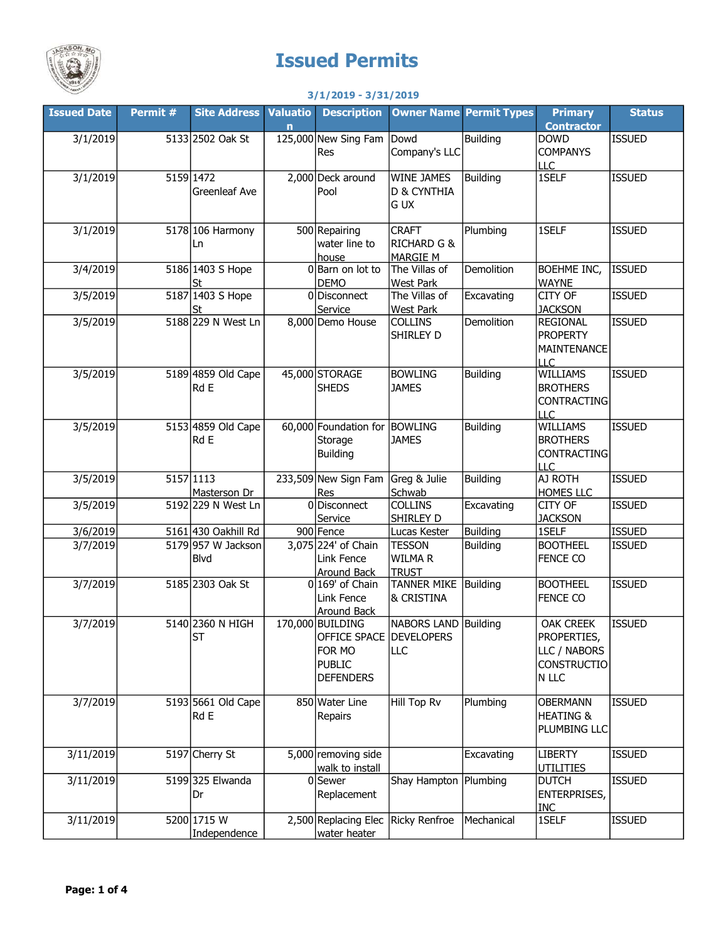

## Issued Permits

## 3/1/2019 - 3/31/2019

| <b>Issued Date</b> | Permit # | <b>Site Address</b>           | <b>Valuatio</b> | <b>Description</b>                                                                         |                                                           | <b>Owner Name Permit Types</b> | <b>Primary</b>                                                                 | <b>Status</b> |
|--------------------|----------|-------------------------------|-----------------|--------------------------------------------------------------------------------------------|-----------------------------------------------------------|--------------------------------|--------------------------------------------------------------------------------|---------------|
|                    |          |                               | $\mathbf n$     |                                                                                            |                                                           |                                | <b>Contractor</b>                                                              |               |
| 3/1/2019           |          | 5133 2502 Oak St              |                 | 125,000 New Sing Fam<br>Res                                                                | Dowd<br>Company's LLC                                     | Building                       | <b>DOWD</b><br><b>COMPANYS</b>                                                 | <b>ISSUED</b> |
| 3/1/2019           |          | 5159 1472<br>Greenleaf Ave    |                 | 2,000 Deck around<br>Pool                                                                  | <b>WINE JAMES</b><br>D & CYNTHIA<br>G UX                  | Building                       | <b>LLC</b><br>1SELF                                                            | <b>ISSUED</b> |
| 3/1/2019           |          | 5178 106 Harmony<br>Ln        |                 | 500 Repairing<br>water line to<br>house                                                    | <b>CRAFT</b><br><b>RICHARD G &amp;</b><br><b>MARGIE M</b> | Plumbing                       | 1SELF                                                                          | <b>ISSUED</b> |
| 3/4/2019           |          | 5186 1403 S Hope<br><u>St</u> |                 | 0 Barn on lot to<br><b>DEMO</b>                                                            | The Villas of<br><b>West Park</b>                         | Demolition                     | BOEHME INC,<br><b>WAYNE</b>                                                    | <b>ISSUED</b> |
| 3/5/2019           |          | 5187 1403 S Hope<br>St        |                 | 0Disconnect<br>Service                                                                     | The Villas of<br>West Park                                | Excavating                     | CITY OF<br><b>JACKSON</b>                                                      | <b>ISSUED</b> |
| 3/5/2019           |          | 5188 229 N West Ln            |                 | 8,000 Demo House                                                                           | <b>COLLINS</b><br>SHIRLEY D                               | Demolition                     | <b>REGIONAL</b><br><b>PROPERTY</b><br><b>MAINTENANCE</b><br><b>LLC</b>         | <b>ISSUED</b> |
| 3/5/2019           |          | 5189 4859 Old Cape<br>Rd E    |                 | 45,000 STORAGE<br><b>SHEDS</b>                                                             | <b>BOWLING</b><br><b>JAMES</b>                            | <b>Building</b>                | <b>WILLIAMS</b><br><b>BROTHERS</b><br><b>CONTRACTING</b><br><b>LLC</b>         | <b>ISSUED</b> |
| 3/5/2019           |          | 5153 4859 Old Cape<br>Rd E    |                 | 60,000 Foundation for<br>Storage<br><b>Building</b>                                        | <b>BOWLING</b><br><b>JAMES</b>                            | <b>Building</b>                | WILLIAMS<br><b>BROTHERS</b><br><b>CONTRACTING</b><br><b>LLC</b>                | <b>ISSUED</b> |
| 3/5/2019           |          | 5157 1113<br>Masterson Dr     |                 | 233,509 New Sign Fam<br>Res                                                                | Greg & Julie<br>Schwab                                    | <b>Building</b>                | AJ ROTH<br>HOMES LLC                                                           | <b>ISSUED</b> |
| 3/5/2019           |          | 5192 229 N West Ln            |                 | 0Disconnect<br>Service                                                                     | <b>COLLINS</b><br>SHIRLEY D                               | Excavating                     | CITY OF<br><b>JACKSON</b>                                                      | <b>ISSUED</b> |
| 3/6/2019           |          | 5161 430 Oakhill Rd           |                 | 900 Fence                                                                                  | Lucas Kester                                              | Building                       | 1SELF                                                                          | <b>ISSUED</b> |
| 3/7/2019           |          | 5179 957 W Jackson<br>Blvd    |                 | 3,075 224' of Chain<br>Link Fence<br>Around Back                                           | <b>TESSON</b><br>WILMA R<br><b>TRUST</b>                  | <b>Building</b>                | <b>BOOTHEEL</b><br><b>FENCE CO</b>                                             | <b>ISSUED</b> |
| 3/7/2019           |          | 5185 2303 Oak St              |                 | $0 169$ of Chain<br>Link Fence<br>Around Back                                              | TANNER MIKE Building<br>& CRISTINA                        |                                | <b>BOOTHEEL</b><br>FENCE CO                                                    | <b>ISSUED</b> |
| 3/7/2019           |          | 5140 2360 N HIGH<br><b>ST</b> |                 | 170,000 BUILDING<br>OFFICE SPACE DEVELOPERS<br>FOR MO<br><b>PUBLIC</b><br><b>DEFENDERS</b> | <b>NABORS LAND Building</b><br>LLC                        |                                | <b>OAK CREEK</b><br>PROPERTIES,<br>LLC / NABORS<br><b>CONSTRUCTIO</b><br>N LLC | <b>ISSUED</b> |
| 3/7/2019           |          | 5193 5661 Old Cape<br>Rd E    |                 | 850 Water Line<br>Repairs                                                                  | Hill Top Rv                                               | Plumbing                       | <b>OBERMANN</b><br><b>HEATING &amp;</b><br>PLUMBING LLC                        | <b>ISSUED</b> |
| 3/11/2019          |          | 5197 Cherry St                |                 | 5,000 removing side<br>walk to install                                                     |                                                           | Excavating                     | <b>LIBERTY</b><br><b>UTILITIES</b>                                             | <b>ISSUED</b> |
| 3/11/2019          |          | 5199 325 Elwanda<br>Dr        |                 | $0$ Sewer<br>Replacement                                                                   | Shay Hampton   Plumbing                                   |                                | <b>DUTCH</b><br><b>ENTERPRISES,</b><br><b>INC</b>                              | <b>ISSUED</b> |
| 3/11/2019          |          | 5200 1715 W<br>Independence   |                 | 2,500 Replacing Elec<br>water heater                                                       | Ricky Renfroe                                             | Mechanical                     | 1SELF                                                                          | <b>ISSUED</b> |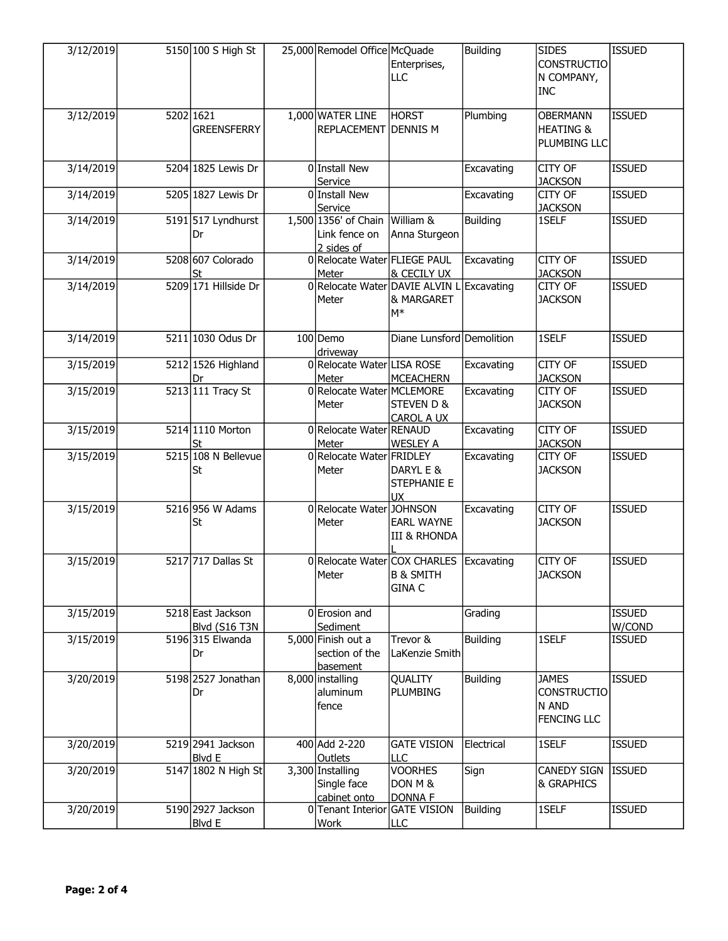| 3/12/2019 | 5150 100 S High St                 | 25,000 Remodel Office McQuade                       | Enterprises,<br>LLC                                                                | <b>Building</b> | <b>SIDES</b><br><b>CONSTRUCTIO</b><br>N COMPANY,<br><b>INC</b>    | <b>ISSUED</b>           |
|-----------|------------------------------------|-----------------------------------------------------|------------------------------------------------------------------------------------|-----------------|-------------------------------------------------------------------|-------------------------|
| 3/12/2019 | 5202 1621<br><b>GREENSFERRY</b>    | 1,000 WATER LINE<br><b>REPLACEMENT DENNIS M</b>     | <b>HORST</b>                                                                       | Plumbing        | <b>OBERMANN</b><br><b>HEATING &amp;</b><br>PLUMBING LLC           | <b>ISSUED</b>           |
| 3/14/2019 | 5204 1825 Lewis Dr                 | O Install New<br>Service                            |                                                                                    | Excavating      | CITY OF<br><b>JACKSON</b>                                         | <b>ISSUED</b>           |
| 3/14/2019 | 5205 1827 Lewis Dr                 | 0 Install New<br>Service                            |                                                                                    | Excavating      | CITY OF<br><b>JACKSON</b>                                         | <b>ISSUED</b>           |
| 3/14/2019 | 5191 517 Lyndhurst<br>Dr           | 1,500 1356' of Chain<br>Link fence on<br>2 sides of | William &<br>Anna Sturgeon                                                         | <b>Building</b> | 1SELF                                                             | <b>ISSUED</b>           |
| 3/14/2019 | 5208 607 Colorado<br>St            | 0 Relocate Water FLIEGE PAUL<br>Meter               | & CECILY UX                                                                        | Excavating      | CITY OF<br><b>JACKSON</b>                                         | <b>ISSUED</b>           |
| 3/14/2019 | 5209 171 Hillside Dr               | Meter                                               | 0 Relocate Water DAVIE ALVIN L<br>& MARGARET<br>$M^*$                              | Excavating      | CITY OF<br><b>JACKSON</b>                                         | <b>ISSUED</b>           |
| 3/14/2019 | 5211 1030 Odus Dr                  | 100 Demo<br>driveway                                | Diane Lunsford Demolition                                                          |                 | 1SELF                                                             | <b>ISSUED</b>           |
| 3/15/2019 | 5212 1526 Highland<br>Dr           | 0 Relocate Water LISA ROSE<br>Meter                 | <b>MCEACHERN</b>                                                                   | Excavating      | CITY OF<br><b>JACKSON</b>                                         | <b>ISSUED</b>           |
| 3/15/2019 | 5213 111 Tracy St                  | 0 Relocate Water MCLEMORE<br>Meter                  | STEVEN D &<br><b>CAROL A UX</b>                                                    | Excavating      | CITY OF<br><b>JACKSON</b>                                         | <b>ISSUED</b>           |
| 3/15/2019 | 5214 1110 Morton<br>St             | 0 Relocate Water RENAUD<br>Meter                    | <b>WESLEY A</b>                                                                    | Excavating      | CITY OF<br><b>JACKSON</b>                                         | <b>ISSUED</b>           |
| 3/15/2019 | 5215 108 N Bellevue<br>St          | 0 Relocate Water FRIDLEY<br>Meter                   | DARYL E &<br>STEPHANIE E<br><b>UX</b>                                              | Excavating      | CITY OF<br><b>JACKSON</b>                                         | <b>ISSUED</b>           |
| 3/15/2019 | 5216 956 W Adams<br>St             | 0 Relocate Water JOHNSON<br>Meter                   | <b>EARL WAYNE</b><br><b>III &amp; RHONDA</b>                                       | Excavating      | <b>CITY OF</b><br><b>JACKSON</b>                                  | <b>ISSUED</b>           |
| 3/15/2019 | 5217 717 Dallas St                 | Meter                                               | 0 Relocate Water COX CHARLES   Excavating<br><b>B &amp; SMITH</b><br><b>GINA C</b> |                 | CITY OF<br><b>JACKSON</b>                                         | <b>ISSUED</b>           |
| 3/15/2019 | 5218 East Jackson<br>Blvd (S16 T3N | 0 Erosion and<br>Sediment                           |                                                                                    | Grading         |                                                                   | <b>ISSUED</b><br>W/COND |
| 3/15/2019 | 5196 315 Elwanda<br>Dr             | 5,000 Finish out a<br>section of the<br>basement    | Trevor &<br>LaKenzie Smith                                                         | Building        | 1SELF                                                             | <b>ISSUED</b>           |
| 3/20/2019 | 5198 2527 Jonathan<br>Dr           | 8,000 installing<br>aluminum<br>fence               | <b>QUALITY</b><br><b>PLUMBING</b>                                                  | <b>Building</b> | <b>JAMES</b><br><b>CONSTRUCTIO</b><br>N AND<br><b>FENCING LLC</b> | <b>ISSUED</b>           |
| 3/20/2019 | 5219 2941 Jackson<br>Blvd E        | 400 Add 2-220<br>Outlets                            | <b>GATE VISION</b><br><b>LLC</b>                                                   | Electrical      | 1SELF                                                             | <b>ISSUED</b>           |
| 3/20/2019 | 5147 1802 N High St                | 3,300 Installing<br>Single face<br>cabinet onto     | <b>VOORHES</b><br>DON M &<br>DONNA F                                               | Sign            | CANEDY SIGN<br>& GRAPHICS                                         | Issued                  |
| 3/20/2019 | 5190 2927 Jackson<br><b>Blvd E</b> | 0 Tenant Interior GATE VISION<br>Work               | <b>LLC</b>                                                                         | <b>Building</b> | 1SELF                                                             | <b>ISSUED</b>           |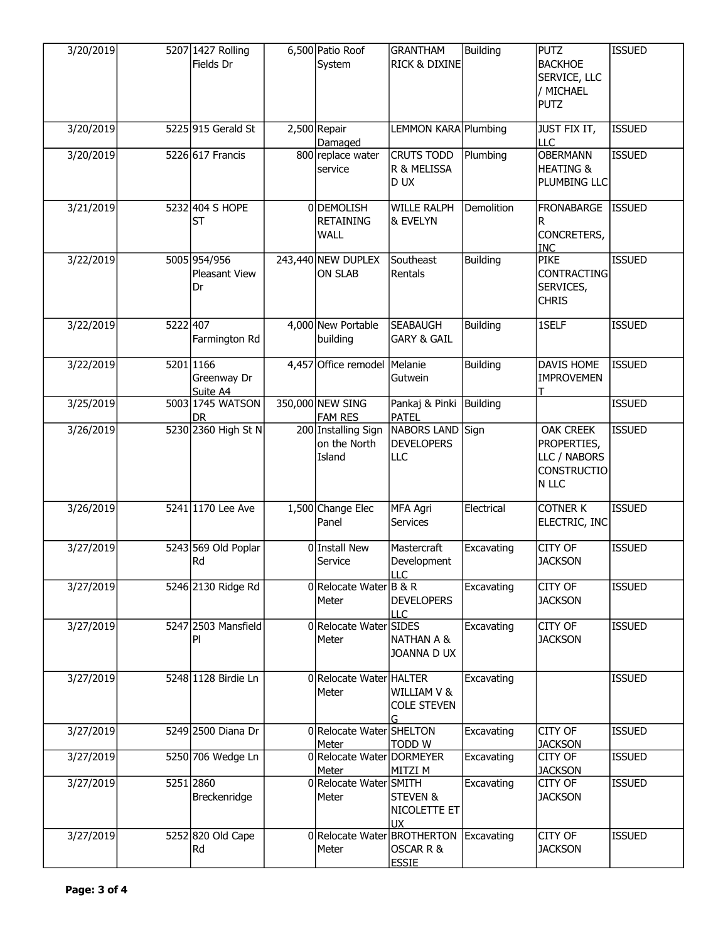| 3/20/2019 |          | 5207 1427 Rolling<br>Fields Dr       | 6,500 Patio Roof<br>System                    | <b>GRANTHAM</b><br>RICK & DIXINE                         | <b>Building</b> | <b>PUTZ</b><br><b>BACKHOE</b><br>SERVICE, LLC<br>/ MICHAEL<br><b>PUTZ</b>      | <b>ISSUED</b> |
|-----------|----------|--------------------------------------|-----------------------------------------------|----------------------------------------------------------|-----------------|--------------------------------------------------------------------------------|---------------|
| 3/20/2019 |          | 5225 915 Gerald St                   | 2,500 Repair<br>Damaged                       | LEMMON KARA Plumbing                                     |                 | <b>JUST FIX IT,</b><br>LLC                                                     | <b>ISSUED</b> |
| 3/20/2019 |          | 5226 617 Francis                     | 800 replace water<br>service                  | <b>CRUTS TODD</b><br>R & MELISSA<br>D UX                 | Plumbing        | <b>OBERMANN</b><br><b>HEATING &amp;</b><br>PLUMBING LLC                        | <b>ISSUED</b> |
| 3/21/2019 |          | 5232 404 S HOPE<br><b>ST</b>         | 0DEMOLISH<br><b>RETAINING</b><br>WALL         | <b>WILLE RALPH</b><br>& EVELYN                           | Demolition      | FRONABARGE<br>R<br>CONCRETERS,<br><b>INC</b>                                   | <b>ISSUED</b> |
| 3/22/2019 |          | 5005 954/956<br>Pleasant View<br>Dr  | 243,440 NEW DUPLEX<br><b>ON SLAB</b>          | Southeast<br>Rentals                                     | <b>Building</b> | <b>PIKE</b><br>CONTRACTING<br>SERVICES,<br><b>CHRIS</b>                        | <b>ISSUED</b> |
| 3/22/2019 | 5222 407 | Farmington Rd                        | 4,000 New Portable<br>building                | <b>SEABAUGH</b><br><b>GARY &amp; GAIL</b>                | <b>Building</b> | 1SELF                                                                          | <b>ISSUED</b> |
| 3/22/2019 |          | 5201 1166<br>Greenway Dr<br>Suite A4 | 4,457 Office remodel                          | Melanie<br>Gutwein                                       | <b>Building</b> | DAVIS HOME<br><b>IMPROVEMEN</b>                                                | <b>ISSUED</b> |
| 3/25/2019 |          | 5003 1745 WATSON<br><b>DR</b>        | 350,000 NEW SING<br><b>FAM RES</b>            | Pankaj & Pinki Building<br><b>PATEL</b>                  |                 |                                                                                | <b>ISSUED</b> |
| 3/26/2019 |          | 5230 2360 High St N                  | 200 Installing Sign<br>on the North<br>Island | NABORS LAND Sign<br><b>DEVELOPERS</b><br>LLC             |                 | <b>OAK CREEK</b><br>PROPERTIES,<br>LLC / NABORS<br><b>CONSTRUCTIO</b><br>N LLC | <b>ISSUED</b> |
| 3/26/2019 |          | 5241 1170 Lee Ave                    | 1,500 Change Elec<br>Panel                    | <b>MFA Agri</b><br><b>Services</b>                       | Electrical      | <b>COTNER K</b><br>ELECTRIC, INC                                               | <b>ISSUED</b> |
| 3/27/2019 |          | 5243 569 Old Poplar<br>Rd            | 0 Install New<br>Service                      | Mastercraft<br>Development<br>LLC                        | Excavating      | CITY OF<br><b>JACKSON</b>                                                      | <b>ISSUED</b> |
| 3/27/2019 |          | 5246 2130 Ridge Rd                   | 0 Relocate Water $B \& R$<br>Meter            | <b>DEVELOPERS</b><br>LLC                                 | Excavating      | CITY OF<br><b>JACKSON</b>                                                      | <b>ISSUED</b> |
| 3/27/2019 |          | 5247 2503 Mansfield<br>PI            | 0Relocate Water SIDES<br>Meter                | <b>NATHAN A &amp;</b><br>JOANNA D UX                     | Excavating      | CITY OF<br><b>JACKSON</b>                                                      | <b>ISSUED</b> |
| 3/27/2019 |          | 5248 1128 Birdie Ln                  | 0 Relocate Water HALTER<br>Meter              | WILLIAM V &<br><b>COLE STEVEN</b><br>G.                  | Excavating      |                                                                                | <b>ISSUED</b> |
| 3/27/2019 |          | 5249 2500 Diana Dr                   | 0 Relocate Water SHELTON<br>Meter             | <b>TODD W</b>                                            | Excavating      | CITY OF<br><b>JACKSON</b>                                                      | <b>ISSUED</b> |
| 3/27/2019 |          | 5250 706 Wedge Ln                    | 0 Relocate Water DORMEYER<br>Meter            | MITZI M                                                  | Excavating      | CITY OF<br><b>JACKSON</b>                                                      | <b>ISSUED</b> |
| 3/27/2019 |          | 5251 2860<br>Breckenridge            | 0Relocate Water SMITH<br>Meter                | STEVEN &<br>NICOLETTE ET<br><b>UX</b>                    | Excavating      | CITY OF<br><b>JACKSON</b>                                                      | <b>ISSUED</b> |
| 3/27/2019 |          | 5252 820 Old Cape<br>Rd              | Meter                                         | 0 Relocate Water BROTHERTON<br>OSCAR R &<br><b>ESSIE</b> | Excavating      | CITY OF<br><b>JACKSON</b>                                                      | <b>ISSUED</b> |